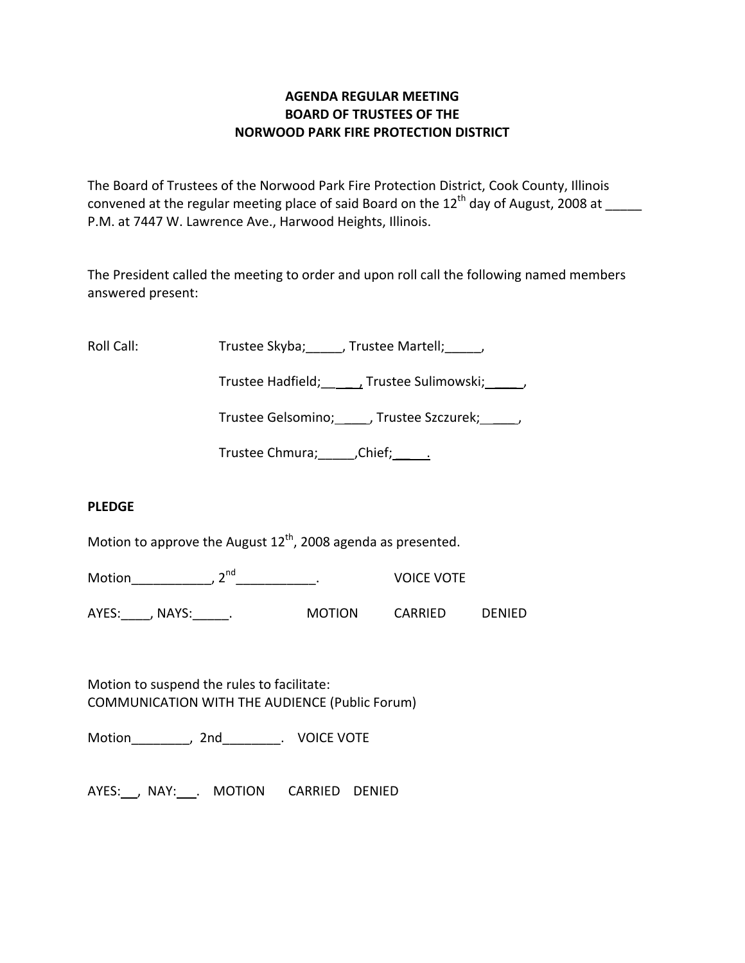# **AGENDA REGULAR MEETING BOARD OF TRUSTEES OF THE NORWOOD PARK FIRE PROTECTION DISTRICT**

The Board of Trustees of the Norwood Park Fire Protection District, Cook County, Illinois convened at the regular meeting place of said Board on the  $12<sup>th</sup>$  day of August, 2008 at P.M. at 7447 W. Lawrence Ave., Harwood Heights, Illinois.

The President called the meeting to order and upon roll call the following named members answered present:

Roll Call: Trustee Skyba; \_\_\_\_, Trustee Martell; \_\_\_\_\_,

Trustee Hadfield; Frustee Sulimowski; 3.1.

Trustee Gelsomino; \_\_\_\_\_, Trustee Szczurek; \_\_\_\_\_,

Trustee Chmura; \_\_\_\_\_\_, Chief; \_\_\_\_\_\_.

## **PLEDGE**

Motion to approve the August  $12^{th}$ , 2008 agenda as presented.

Motion\_\_\_\_\_\_\_\_\_\_\_\_, 2<sup>nd</sup>\_\_\_\_\_\_\_\_\_\_\_\_\_\_. VOICE VOTE

AYES: NAYS: NAYS: Nortion CARRIED DENIED

Motion to suspend the rules to facilitate: COMMUNICATION WITH THE AUDIENCE (Public Forum)

Motion\_\_\_\_\_\_\_\_, 2nd\_\_\_\_\_\_\_\_. VOICE VOTE

AYES: , NAY: . MOTION CARRIED DENIED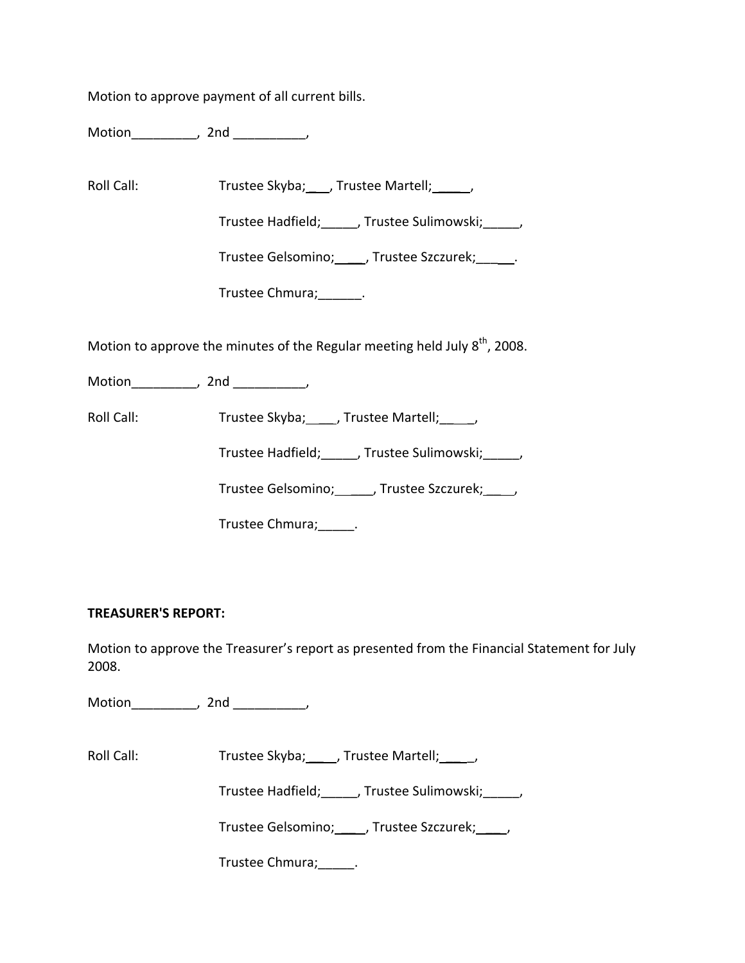Motion to approve payment of all current bills.

Motion\_\_\_\_\_\_\_\_\_, 2nd \_\_\_\_\_\_\_\_\_\_,

Roll Call: Trustee Skyba; \_\_\_, Trustee Martell; \_\_\_\_\_,

Trustee Hadfield;\_\_\_\_\_, Trustee Sulimowski;\_\_\_\_\_,

Trustee Gelsomino; \_\_\_\_\_, Trustee Szczurek; \_\_\_\_\_\_.

Trustee Chmura;\_\_\_\_\_\_.

Motion to approve the minutes of the Regular meeting held July  $8<sup>th</sup>$ , 2008.

Motion\_\_\_\_\_\_\_\_\_\_, 2nd \_\_\_\_\_\_\_\_\_,

Roll Call: Trustee Skyba; \_\_\_\_, Trustee Martell; \_\_\_\_,

Trustee Hadfield;\_\_\_\_\_, Trustee Sulimowski;\_\_\_\_\_,

Trustee Gelsomino; \_\_\_\_\_, Trustee Szczurek; \_\_\_\_,

Trustee Chmura;\_\_\_\_\_.

## **TREASURER'S REPORT:**

Motion to approve the Treasurer's report as presented from the Financial Statement for July 2008.

Motion the contract of the contract of the contract of the contract of the contract of the contract of the contract of the contract of the contract of the contract of the contract of the contract of the contract of the con

Roll Call: Trustee Skyba; \_\_\_, Trustee Martell; \_\_\_\_,

Trustee Hadfield;\_\_\_\_\_, Trustee Sulimowski;\_\_\_\_\_,

Trustee Gelsomino; \_\_\_\_\_, Trustee Szczurek; \_\_\_\_\_,

Trustee Chmura;\_\_\_\_\_.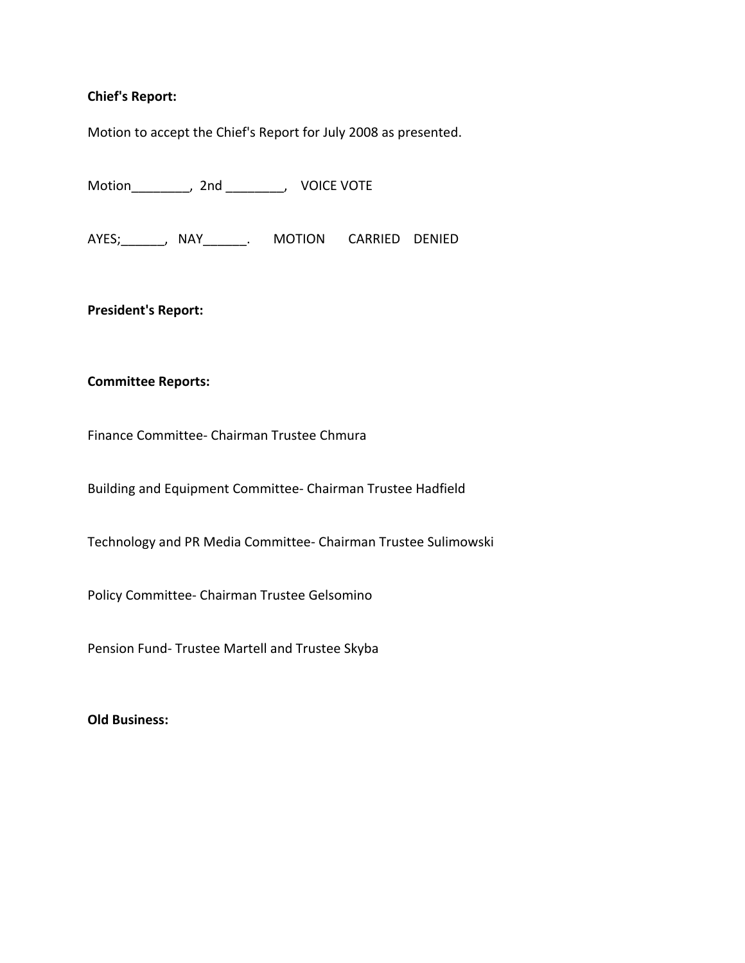### **Chief's Report:**

Motion to accept the Chief's Report for July 2008 as presented.

Motion\_\_\_\_\_\_\_\_, 2nd \_\_\_\_\_\_\_\_, VOICE VOTE

AYES; NAY NAY MOTION CARRIED DENIED

**President's Report:**

#### **Committee Reports:**

Finance Committee‐ Chairman Trustee Chmura

Building and Equipment Committee‐ Chairman Trustee Hadfield

Technology and PR Media Committee‐ Chairman Trustee Sulimowski

Policy Committee‐ Chairman Trustee Gelsomino

Pension Fund‐ Trustee Martell and Trustee Skyba

**Old Business:**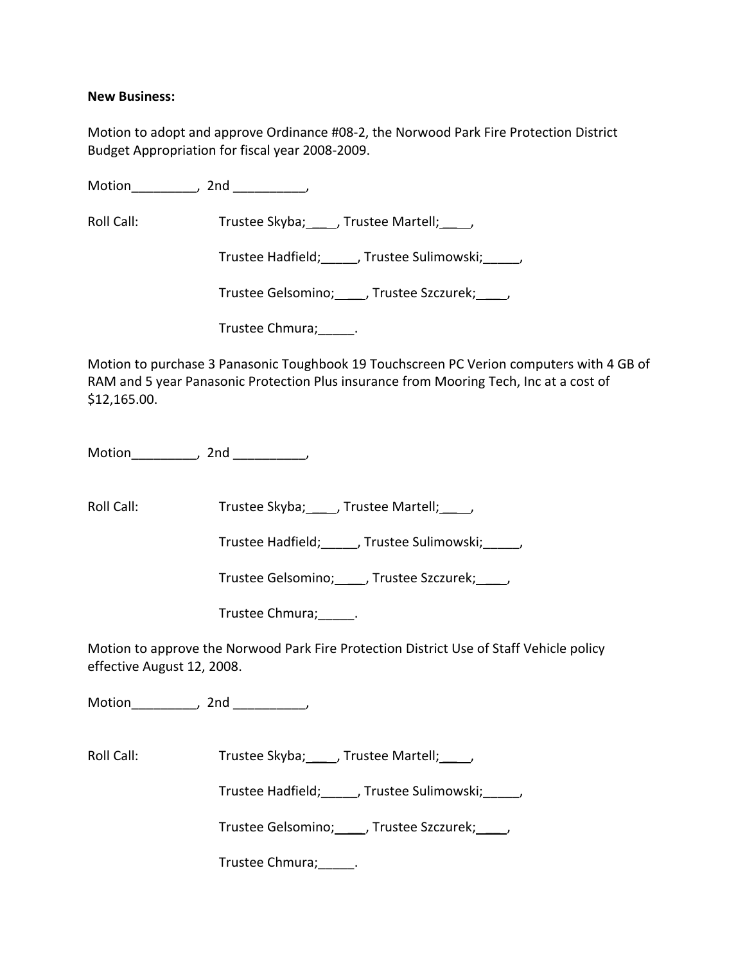### **New Business:**

Motion to adopt and approve Ordinance #08‐2, the Norwood Park Fire Protection District Budget Appropriation for fiscal year 2008‐2009.

Motion the contract of the contract of the contract of the contract of the contract of the contract of the contract of the contract of the contract of the contract of the contract of the contract of the contract of the con

Roll Call: Trustee Skyba; \_\_\_\_, Trustee Martell; \_\_\_\_,

Trustee Hadfield;\_\_\_\_\_, Trustee Sulimowski;\_\_\_\_\_,

Trustee Gelsomino; \_\_\_\_, Trustee Szczurek; \_\_\_\_,

Trustee Chmura; Letter Chmura; Letter Chmura; Letter Chmura; Letter Chmura; Letter Chmura; Letter Chmura; Letter Chmura; Letter Chmura; Letter Chmura; Letter Chmura; Letter Chmura; Letter Chmura; Letter Chmura; Letter Chmu

Motion to purchase 3 Panasonic Toughbook 19 Touchscreen PC Verion computers with 4 GB of RAM and 5 year Panasonic Protection Plus insurance from Mooring Tech, Inc at a cost of \$12,165.00.

Motion\_\_\_\_\_\_\_\_\_, 2nd \_\_\_\_\_\_\_\_\_\_,

Roll Call: Trustee Skyba; \_\_\_\_, Trustee Martell; \_\_\_\_,

Trustee Hadfield;\_\_\_\_\_, Trustee Sulimowski;\_\_\_\_\_,

Trustee Gelsomino; \_\_\_\_\_, Trustee Szczurek; \_\_\_\_\_,

Trustee Chmura;\_\_\_\_\_.

Motion to approve the Norwood Park Fire Protection District Use of Staff Vehicle policy effective August 12, 2008.

Motion the contract of the contract of the contract of the contract of the contract of the contract of the contract of the contract of the contract of the contract of the contract of the contract of the contract of the con

Roll Call: Trustee Skyba; \_\_\_ , Trustee Martell; \_\_\_ ,

Trustee Hadfield; frustee Sulimowski; frustee Hadfield;

Trustee Gelsomino; \_\_\_\_\_, Trustee Szczurek; \_\_\_\_\_,

Trustee Chmura;\_\_\_\_\_.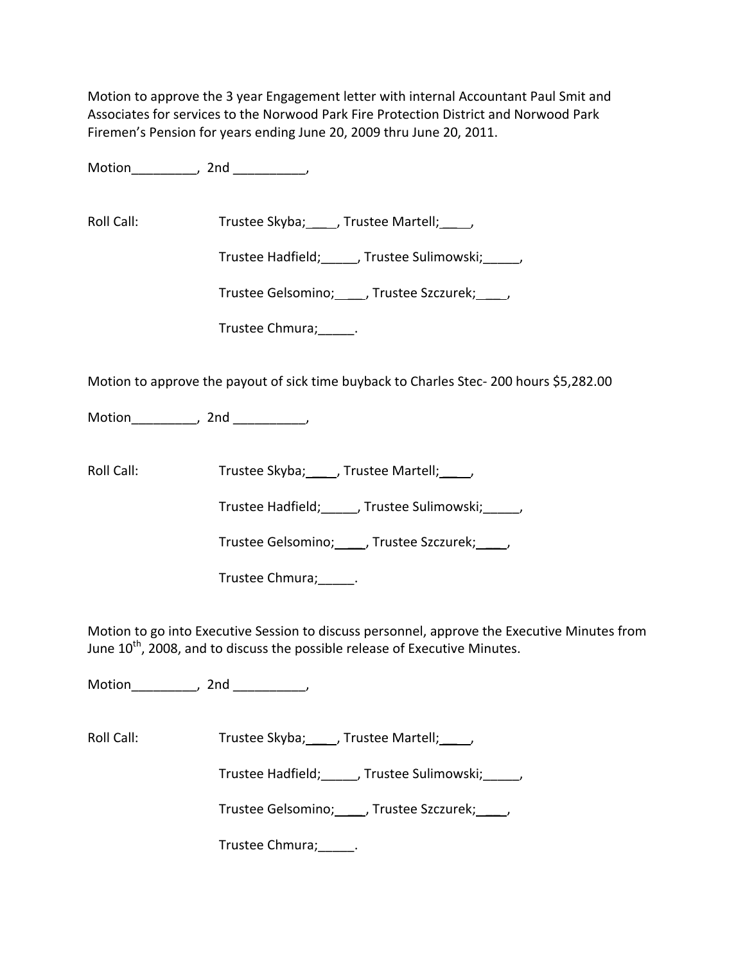Motion to approve the 3 year Engagement letter with internal Accountant Paul Smit and Associates for services to the Norwood Park Fire Protection District and Norwood Park Firemen's Pension for years ending June 20, 2009 thru June 20, 2011.

Motion the motion of the motion of the motion of the motion of the motion of the motion of the motion of the m<br>Second motion of the motion of the motion of the motion of the motion of the motion of the motion of the motio<br>

Roll Call: Trustee Skyba; \_\_\_\_, Trustee Martell; \_\_\_\_,

Trustee Hadfield;\_\_\_\_\_, Trustee Sulimowski;\_\_\_\_\_,

Trustee Gelsomino; \_\_\_\_, Trustee Szczurek; \_\_\_\_,

Trustee Chmura; \_\_\_\_\_\_.

Motion to approve the payout of sick time buyback to Charles Stec‐ 200 hours \$5,282.00

Motion\_\_\_\_\_\_\_\_\_, 2nd \_\_\_\_\_\_\_\_\_\_,

Roll Call: Trustee Skyba; , Trustee Martell; ,

Trustee Hadfield;\_\_\_\_\_, Trustee Sulimowski;\_\_\_\_\_,

Trustee Gelsomino; \_\_\_\_, Trustee Szczurek; \_\_\_\_,

Trustee Chmura;\_\_\_\_\_.

Motion to go into Executive Session to discuss personnel, approve the Executive Minutes from June 10<sup>th</sup>, 2008, and to discuss the possible release of Executive Minutes.

Motion\_\_\_\_\_\_\_\_\_, 2nd \_\_\_\_\_\_\_\_\_\_,

Roll Call: Trustee Skyba; \_\_\_\_, Trustee Martell; \_\_\_\_,

Trustee Hadfield;\_\_\_\_\_, Trustee Sulimowski;\_\_\_\_\_,

Trustee Gelsomino; \_\_\_\_\_, Trustee Szczurek; \_\_\_\_\_,

Trustee Chmura;\_\_\_\_\_.